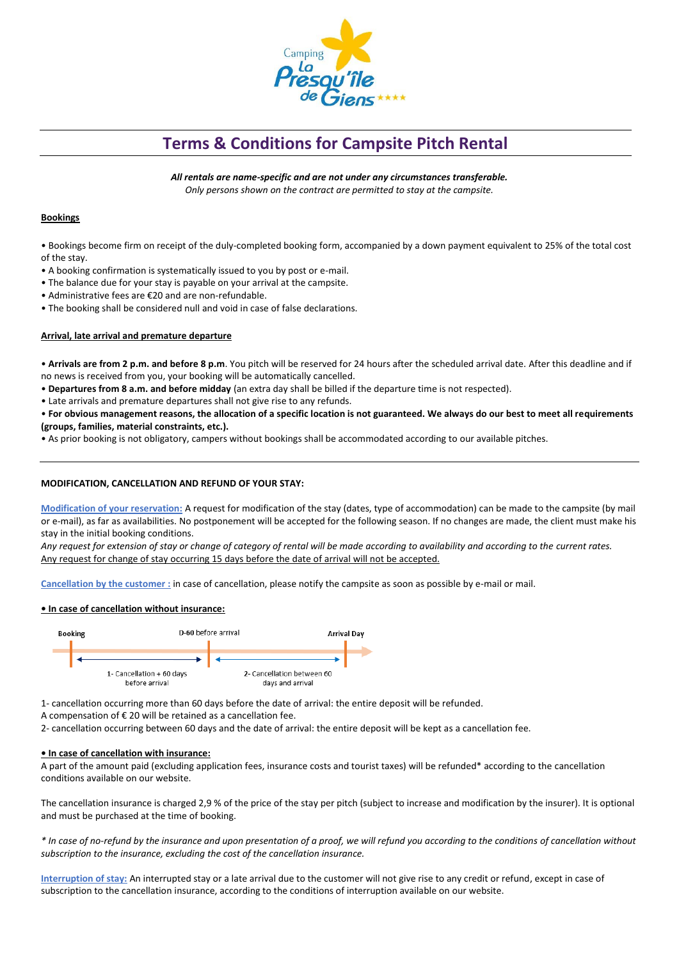

# **Terms & Conditions for Campsite Pitch Rental**

*All rentals are name-specific and are not under any circumstances transferable. Only persons shown on the contract are permitted to stay at the campsite.*

## **Bookings**

• Bookings become firm on receipt of the duly-completed booking form, accompanied by a down payment equivalent to 25% of the total cost of the stay.

- A booking confirmation is systematically issued to you by post or e-mail.
- The balance due for your stay is payable on your arrival at the campsite.
- Administrative fees are €20 and are non-refundable.
- The booking shall be considered null and void in case of false declarations.

## **Arrival, late arrival and premature departure**

• **Arrivals are from 2 p.m. and before 8 p.m**. You pitch will be reserved for 24 hours after the scheduled arrival date. After this deadline and if no news is received from you, your booking will be automatically cancelled.

- **Departures from 8 a.m. and before midday** (an extra day shall be billed if the departure time is not respected).
- Late arrivals and premature departures shall not give rise to any refunds.

• **For obvious management reasons, the allocation of a specific location is not guaranteed. We always do our best to meet all requirements (groups, families, material constraints, etc.).**

• As prior booking is not obligatory, campers without bookings shall be accommodated according to our available pitches.

## **MODIFICATION, CANCELLATION AND REFUND OF YOUR STAY:**

**Modification of your reservation:** A request for modification of the stay (dates, type of accommodation) can be made to the campsite (by mail or e-mail), as far as availabilities. No postponement will be accepted for the following season. If no changes are made, the client must make his stay in the initial booking conditions.

*Any request for extension of stay or change of category of rental will be made according to availability and according to the current rates.*  Any request for change of stay occurring 15 days before the date of arrival will not be accepted.

**Cancellation by the customer :** in case of cancellation, please notify the campsite as soon as possible by e-mail or mail.

#### **• In case of cancellation without insurance:**



1- cancellation occurring more than 60 days before the date of arrival: the entire deposit will be refunded.

A compensation of  $\epsilon$  20 will be retained as a cancellation fee.

2- cancellation occurring between 60 days and the date of arrival: the entire deposit will be kept as a cancellation fee.

#### **• In case of cancellation with insurance:**

A part of the amount paid (excluding application fees, insurance costs and tourist taxes) will be refunded\* according to the cancellation conditions available on our website.

The cancellation insurance is charged 2,9 % of the price of the stay per pitch (subject to increase and modification by the insurer). It is optional and must be purchased at the time of booking.

*\* In case of no-refund by the insurance and upon presentation of a proof, we will refund you according to the conditions of cancellation without subscription to the insurance, excluding the cost of the cancellation insurance.*

**Interruption of stay:** An interrupted stay or a late arrival due to the customer will not give rise to any credit or refund, except in case of subscription to the cancellation insurance, according to the conditions of interruption available on our website.